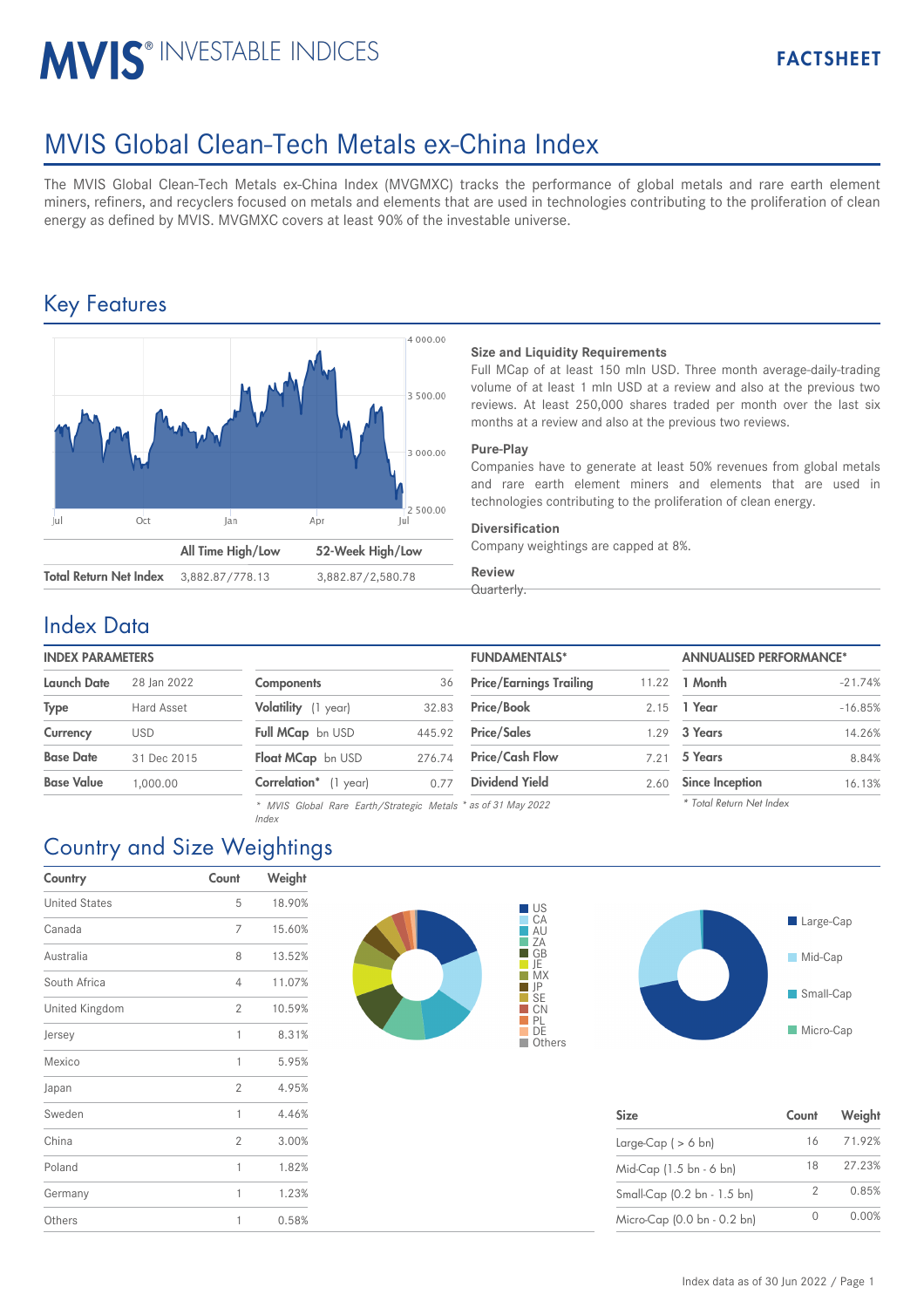# **MVIS® INVESTABLE INDICES**

## MVIS Global Clean-Tech Metals ex-China Index

The MVIS Global Clean-Tech Metals ex-China Index (MVGMXC) tracks the performance of global metals and rare earth element miners, refiners, and recyclers focused on metals and elements that are used in technologies contributing to the proliferation of clean energy as defined by MVIS. MVGMXC covers at least 90% of the investable universe.

## Key Features



#### **Size and Liquidity Requirements**

Full MCap of at least 150 mln USD. Three month average-daily-trading volume of at least 1 mln USD at a review and also at the previous two reviews. At least 250,000 shares traded per month over the last six months at a review and also at the previous two reviews.

#### **Pure-Play**

Companies have to generate at least 50% revenues from global metals and rare earth element miners and elements that are used in technologies contributing to the proliferation of clean energy.

#### **Diversification**

Company weightings are capped at 8%.

#### **Review** Quarterly.

#### Index Data

| <b>INDEX PARAMETERS</b> |             |  |  |  |
|-------------------------|-------------|--|--|--|
| <b>Launch Date</b>      | 28 Jan 2022 |  |  |  |

| Launch Dale       | ZO IGH ZUZZ |
|-------------------|-------------|
| <b>Type</b>       | Hard Asset  |
| Currency          | USD         |
| <b>Base Date</b>  | 31 Dec 2015 |
| <b>Base Value</b> | 1.000.00    |

| <b>Components</b>        | 36     |
|--------------------------|--------|
| Volatility (1 year)      | 32.83  |
| <b>Full MCap</b> bn USD  | 445.92 |
| <b>Float MCap</b> bn USD | 276.74 |
| Correlation* (1 year)    | 0.77   |

*\* MVIS Global Rare Earth/Strategic Metals \* as of 31 May 2022*

| <b>INDEX PARAMETERS</b> |             |                       |        | <b>FUNDAMENTALS*</b>           |       | <b>ANNUALISED PERFORMANCE*</b> |           |
|-------------------------|-------------|-----------------------|--------|--------------------------------|-------|--------------------------------|-----------|
| Launch Date             | 28 Ian 2022 | <b>Components</b>     | 36     | <b>Price/Earnings Trailing</b> | 11.22 | 1 Month                        | $-21.74%$ |
| Type                    | Hard Asset  | Volatility (1 year)   | 32.83  | <b>Price/Book</b>              |       | 2.15 1 Year                    | $-16.85%$ |
| Currency                | <b>USD</b>  | Full MCap bn USD      | 445.92 | <b>Price/Sales</b>             | 1.29  | 3 Years                        | 14.26%    |
| <b>Base Date</b>        | 31 Dec 2015 | Float MCap bn USD     | 276.74 | <b>Price/Cash Flow</b>         | 7.21  | 5 Years                        | 8.84%     |
| Base Value              | 1.000.00    | Correlation* (1 year) | 0.77   | <b>Dividend Yield</b>          | 2.60  | Since Inception                | 16.13%    |
|                         |             |                       |        |                                |       |                                |           |

*\* Total Return Net Index*

## Country and Size Weightings

*Index*

| Country              | Count          | Weight |
|----------------------|----------------|--------|
| <b>United States</b> | 5              | 18.90% |
| Canada               | 7              | 15.60% |
| Australia            | 8              | 13.52% |
| South Africa         | 4              | 11.07% |
| United Kingdom       | $\overline{2}$ | 10.59% |
| Jersey               | 1              | 8.31%  |
| Mexico               | 1              | 5.95%  |
| Japan                | $\overline{2}$ | 4.95%  |
| Sweden               | 1              | 4.46%  |
| China                | $\overline{2}$ | 3.00%  |
| Poland               | 1              | 1.82%  |
| Germany              | 1              | 1.23%  |
| Others               | 1              | 0.58%  |





| <b>Size</b>                 | Count | Weight |
|-----------------------------|-------|--------|
| Large-Cap $($ > 6 bn)       | 16    | 71.92% |
| Mid-Cap (1.5 bn - 6 bn)     | 18    | 27.23% |
| Small-Cap (0.2 bn - 1.5 bn) | 2     | 0.85%  |
| Micro-Cap (0.0 bn - 0.2 bn) |       | 0.00%  |